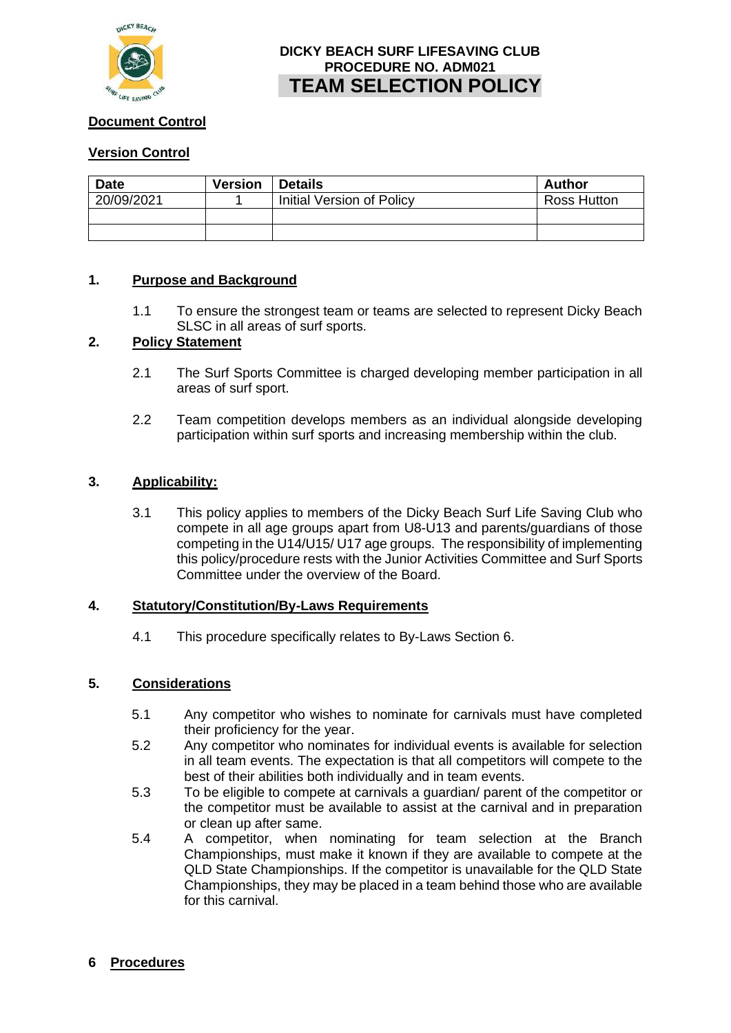

# **DICKY BEACH SURF LIFESAVING CLUB PROCEDURE NO. ADM021 TEAM SELECTION POLICY**

## **Document Control**

## **Version Control**

| <b>Date</b> | <b>Version</b> | <b>Details</b>            | Author      |
|-------------|----------------|---------------------------|-------------|
| 20/09/2021  |                | Initial Version of Policy | Ross Hutton |
|             |                |                           |             |
|             |                |                           |             |

### **1. Purpose and Background**

1.1 To ensure the strongest team or teams are selected to represent Dicky Beach SLSC in all areas of surf sports.

## **2. Policy Statement**

- 2.1 The Surf Sports Committee is charged developing member participation in all areas of surf sport.
- 2.2 Team competition develops members as an individual alongside developing participation within surf sports and increasing membership within the club.

#### **3. Applicability:**

3.1 This policy applies to members of the Dicky Beach Surf Life Saving Club who compete in all age groups apart from U8-U13 and parents/guardians of those competing in the U14/U15/ U17 age groups. The responsibility of implementing this policy/procedure rests with the Junior Activities Committee and Surf Sports Committee under the overview of the Board.

#### **4. Statutory/Constitution/By-Laws Requirements**

4.1 This procedure specifically relates to By-Laws Section 6.

#### **5. Considerations**

- 5.1 Any competitor who wishes to nominate for carnivals must have completed their proficiency for the year.
- 5.2 Any competitor who nominates for individual events is available for selection in all team events. The expectation is that all competitors will compete to the best of their abilities both individually and in team events.
- 5.3 To be eligible to compete at carnivals a guardian/ parent of the competitor or the competitor must be available to assist at the carnival and in preparation or clean up after same.
- 5.4 A competitor, when nominating for team selection at the Branch Championships, must make it known if they are available to compete at the QLD State Championships. If the competitor is unavailable for the QLD State Championships, they may be placed in a team behind those who are available for this carnival.

#### **6 Procedures**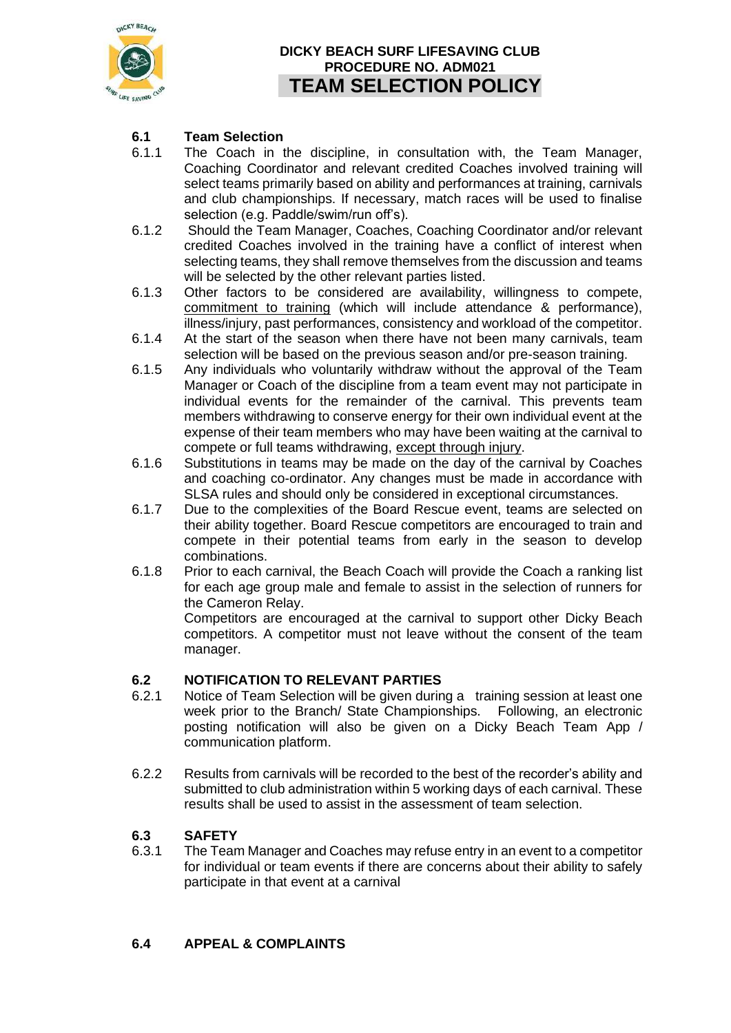

# **DICKY BEACH SURF LIFESAVING CLUB PROCEDURE NO. ADM021 TEAM SELECTION POLICY**

## **6.1 Team Selection**

- 6.1.1 The Coach in the discipline, in consultation with, the Team Manager, Coaching Coordinator and relevant credited Coaches involved training will select teams primarily based on ability and performances at training, carnivals and club championships. If necessary, match races will be used to finalise selection (e.g. Paddle/swim/run off's).
- 6.1.2 Should the Team Manager, Coaches, Coaching Coordinator and/or relevant credited Coaches involved in the training have a conflict of interest when selecting teams, they shall remove themselves from the discussion and teams will be selected by the other relevant parties listed.
- 6.1.3 Other factors to be considered are availability, willingness to compete, commitment to training (which will include attendance & performance), illness/injury, past performances, consistency and workload of the competitor.
- 6.1.4 At the start of the season when there have not been many carnivals, team selection will be based on the previous season and/or pre-season training.
- 6.1.5 Any individuals who voluntarily withdraw without the approval of the Team Manager or Coach of the discipline from a team event may not participate in individual events for the remainder of the carnival. This prevents team members withdrawing to conserve energy for their own individual event at the expense of their team members who may have been waiting at the carnival to compete or full teams withdrawing, except through injury.
- 6.1.6 Substitutions in teams may be made on the day of the carnival by Coaches and coaching co-ordinator. Any changes must be made in accordance with SLSA rules and should only be considered in exceptional circumstances.
- 6.1.7 Due to the complexities of the Board Rescue event, teams are selected on their ability together. Board Rescue competitors are encouraged to train and compete in their potential teams from early in the season to develop combinations.
- 6.1.8 Prior to each carnival, the Beach Coach will provide the Coach a ranking list for each age group male and female to assist in the selection of runners for the Cameron Relay.

Competitors are encouraged at the carnival to support other Dicky Beach competitors. A competitor must not leave without the consent of the team manager.

## **6.2 NOTIFICATION TO RELEVANT PARTIES**

- 6.2.1 Notice of Team Selection will be given during a training session at least one week prior to the Branch/ State Championships. Following, an electronic posting notification will also be given on a Dicky Beach Team App / communication platform.
- 6.2.2 Results from carnivals will be recorded to the best of the recorder's ability and submitted to club administration within 5 working days of each carnival. These results shall be used to assist in the assessment of team selection.

## **6.3 SAFETY**

6.3.1 The Team Manager and Coaches may refuse entry in an event to a competitor for individual or team events if there are concerns about their ability to safely participate in that event at a carnival

### **6.4 APPEAL & COMPLAINTS**